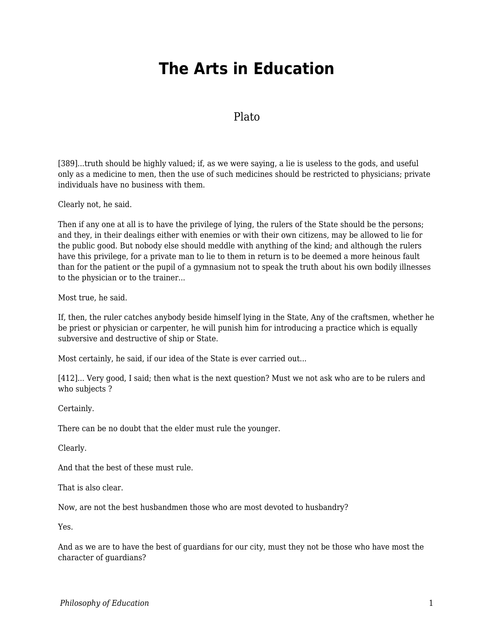## **The Arts in Education**

## Plato

[389]...truth should be highly valued; if, as we were saying, a lie is useless to the gods, and useful only as a medicine to men, then the use of such medicines should be restricted to physicians; private individuals have no business with them.

Clearly not, he said.

Then if any one at all is to have the privilege of lying, the rulers of the State should be the persons; and they, in their dealings either with enemies or with their own citizens, may be allowed to lie for the public good. But nobody else should meddle with anything of the kind; and although the rulers have this privilege, for a private man to lie to them in return is to be deemed a more heinous fault than for the patient or the pupil of a gymnasium not to speak the truth about his own bodily illnesses to the physician or to the trainer...

Most true, he said.

If, then, the ruler catches anybody beside himself lying in the State, Any of the craftsmen, whether he be priest or physician or carpenter, he will punish him for introducing a practice which is equally subversive and destructive of ship or State.

Most certainly, he said, if our idea of the State is ever carried out...

[412]... Very good, I said; then what is the next question? Must we not ask who are to be rulers and who subjects ?

Certainly.

There can be no doubt that the elder must rule the younger.

Clearly.

And that the best of these must rule.

That is also clear.

Now, are not the best husbandmen those who are most devoted to husbandry?

Yes.

And as we are to have the best of guardians for our city, must they not be those who have most the character of guardians?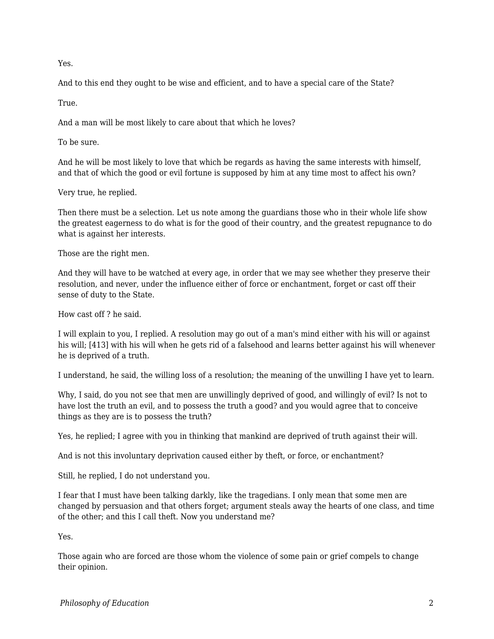Yes.

And to this end they ought to be wise and efficient, and to have a special care of the State?

True.

And a man will be most likely to care about that which he loves?

To be sure.

And he will be most likely to love that which be regards as having the same interests with himself, and that of which the good or evil fortune is supposed by him at any time most to affect his own?

Very true, he replied.

Then there must be a selection. Let us note among the guardians those who in their whole life show the greatest eagerness to do what is for the good of their country, and the greatest repugnance to do what is against her interests.

Those are the right men.

And they will have to be watched at every age, in order that we may see whether they preserve their resolution, and never, under the influence either of force or enchantment, forget or cast off their sense of duty to the State.

How cast off ? he said.

I will explain to you, I replied. A resolution may go out of a man's mind either with his will or against his will; [413] with his will when he gets rid of a falsehood and learns better against his will whenever he is deprived of a truth.

I understand, he said, the willing loss of a resolution; the meaning of the unwilling I have yet to learn.

Why, I said, do you not see that men are unwillingly deprived of good, and willingly of evil? Is not to have lost the truth an evil, and to possess the truth a good? and you would agree that to conceive things as they are is to possess the truth?

Yes, he replied; I agree with you in thinking that mankind are deprived of truth against their will.

And is not this involuntary deprivation caused either by theft, or force, or enchantment?

Still, he replied, I do not understand you.

I fear that I must have been talking darkly, like the tragedians. I only mean that some men are changed by persuasion and that others forget; argument steals away the hearts of one class, and time of the other; and this I call theft. Now you understand me?

Yes.

Those again who are forced are those whom the violence of some pain or grief compels to change their opinion.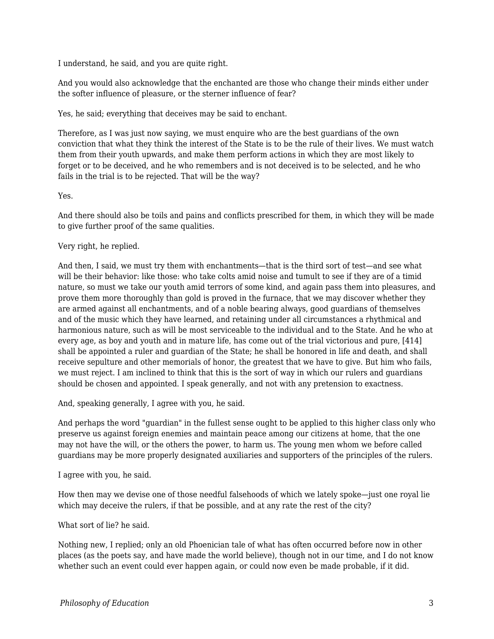I understand, he said, and you are quite right.

And you would also acknowledge that the enchanted are those who change their minds either under the softer influence of pleasure, or the sterner influence of fear?

Yes, he said; everything that deceives may be said to enchant.

Therefore, as I was just now saying, we must enquire who are the best guardians of the own conviction that what they think the interest of the State is to be the rule of their lives. We must watch them from their youth upwards, and make them perform actions in which they are most likely to forget or to be deceived, and he who remembers and is not deceived is to be selected, and he who fails in the trial is to be rejected. That will be the way?

## Yes.

And there should also be toils and pains and conflicts prescribed for them, in which they will be made to give further proof of the same qualities.

## Very right, he replied.

And then, I said, we must try them with enchantments—that is the third sort of test—and see what will be their behavior: like those: who take colts amid noise and tumult to see if they are of a timid nature, so must we take our youth amid terrors of some kind, and again pass them into pleasures, and prove them more thoroughly than gold is proved in the furnace, that we may discover whether they are armed against all enchantments, and of a noble bearing always, good guardians of themselves and of the music which they have learned, and retaining under all circumstances a rhythmical and harmonious nature, such as will be most serviceable to the individual and to the State. And he who at every age, as boy and youth and in mature life, has come out of the trial victorious and pure, [414] shall be appointed a ruler and guardian of the State; he shall be honored in life and death, and shall receive sepulture and other memorials of honor, the greatest that we have to give. But him who fails, we must reject. I am inclined to think that this is the sort of way in which our rulers and guardians should be chosen and appointed. I speak generally, and not with any pretension to exactness.

And, speaking generally, I agree with you, he said.

And perhaps the word "guardian" in the fullest sense ought to be applied to this higher class only who preserve us against foreign enemies and maintain peace among our citizens at home, that the one may not have the will, or the others the power, to harm us. The young men whom we before called guardians may be more properly designated auxiliaries and supporters of the principles of the rulers.

I agree with you, he said.

How then may we devise one of those needful falsehoods of which we lately spoke—just one royal lie which may deceive the rulers, if that be possible, and at any rate the rest of the city?

What sort of lie? he said.

Nothing new, I replied; only an old Phoenician tale of what has often occurred before now in other places (as the poets say, and have made the world believe), though not in our time, and I do not know whether such an event could ever happen again, or could now even be made probable, if it did.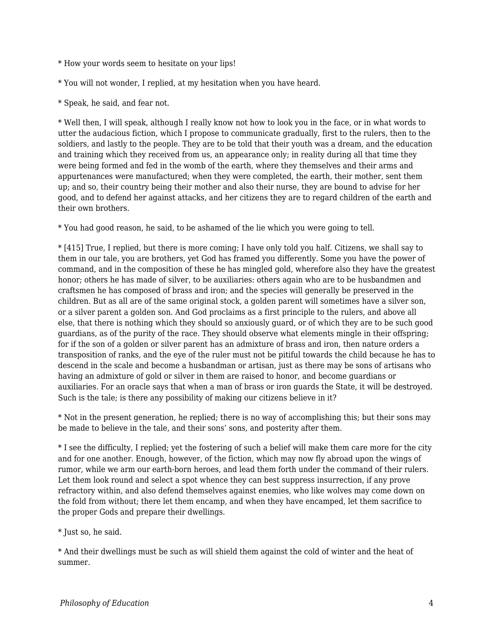- \* How your words seem to hesitate on your lips!
- \* You will not wonder, I replied, at my hesitation when you have heard.
- \* Speak, he said, and fear not.

\* Well then, I will speak, although I really know not how to look you in the face, or in what words to utter the audacious fiction, which I propose to communicate gradually, first to the rulers, then to the soldiers, and lastly to the people. They are to be told that their youth was a dream, and the education and training which they received from us, an appearance only; in reality during all that time they were being formed and fed in the womb of the earth, where they themselves and their arms and appurtenances were manufactured; when they were completed, the earth, their mother, sent them up; and so, their country being their mother and also their nurse, they are bound to advise for her good, and to defend her against attacks, and her citizens they are to regard children of the earth and their own brothers.

\* You had good reason, he said, to be ashamed of the lie which you were going to tell.

\* [415] True, I replied, but there is more coming; I have only told you half. Citizens, we shall say to them in our tale, you are brothers, yet God has framed you differently. Some you have the power of command, and in the composition of these he has mingled gold, wherefore also they have the greatest honor; others he has made of silver, to be auxiliaries: others again who are to be husbandmen and craftsmen he has composed of brass and iron; and the species will generally be preserved in the children. But as all are of the same original stock, a golden parent will sometimes have a silver son, or a silver parent a golden son. And God proclaims as a first principle to the rulers, and above all else, that there is nothing which they should so anxiously guard, or of which they are to be such good guardians, as of the purity of the race. They should observe what elements mingle in their offspring; for if the son of a golden or silver parent has an admixture of brass and iron, then nature orders a transposition of ranks, and the eye of the ruler must not be pitiful towards the child because he has to descend in the scale and become a husbandman or artisan, just as there may be sons of artisans who having an admixture of gold or silver in them are raised to honor, and become guardians or auxiliaries. For an oracle says that when a man of brass or iron guards the State, it will be destroyed. Such is the tale; is there any possibility of making our citizens believe in it?

\* Not in the present generation, he replied; there is no way of accomplishing this; but their sons may be made to believe in the tale, and their sons' sons, and posterity after them.

\* I see the difficulty, I replied; yet the fostering of such a belief will make them care more for the city and for one another. Enough, however, of the fiction, which may now fly abroad upon the wings of rumor, while we arm our earth-born heroes, and lead them forth under the command of their rulers. Let them look round and select a spot whence they can best suppress insurrection, if any prove refractory within, and also defend themselves against enemies, who like wolves may come down on the fold from without; there let them encamp, and when they have encamped, let them sacrifice to the proper Gods and prepare their dwellings.

\* Just so, he said.

\* And their dwellings must be such as will shield them against the cold of winter and the heat of summer.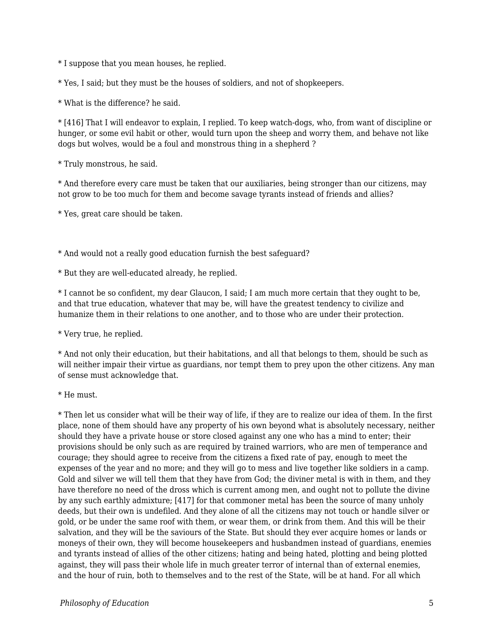\* I suppose that you mean houses, he replied.

\* Yes, I said; but they must be the houses of soldiers, and not of shopkeepers.

\* What is the difference? he said.

\* [416] That I will endeavor to explain, I replied. To keep watch-dogs, who, from want of discipline or hunger, or some evil habit or other, would turn upon the sheep and worry them, and behave not like dogs but wolves, would be a foul and monstrous thing in a shepherd ?

\* Truly monstrous, he said.

\* And therefore every care must be taken that our auxiliaries, being stronger than our citizens, may not grow to be too much for them and become savage tyrants instead of friends and allies?

\* Yes, great care should be taken.

\* And would not a really good education furnish the best safeguard?

\* But they are well-educated already, he replied.

\* I cannot be so confident, my dear Glaucon, I said; I am much more certain that they ought to be, and that true education, whatever that may be, will have the greatest tendency to civilize and humanize them in their relations to one another, and to those who are under their protection.

\* Very true, he replied.

\* And not only their education, but their habitations, and all that belongs to them, should be such as will neither impair their virtue as guardians, nor tempt them to prey upon the other citizens. Any man of sense must acknowledge that.

\* He must.

\* Then let us consider what will be their way of life, if they are to realize our idea of them. In the first place, none of them should have any property of his own beyond what is absolutely necessary, neither should they have a private house or store closed against any one who has a mind to enter; their provisions should be only such as are required by trained warriors, who are men of temperance and courage; they should agree to receive from the citizens a fixed rate of pay, enough to meet the expenses of the year and no more; and they will go to mess and live together like soldiers in a camp. Gold and silver we will tell them that they have from God; the diviner metal is with in them, and they have therefore no need of the dross which is current among men, and ought not to pollute the divine by any such earthly admixture; [417] for that commoner metal has been the source of many unholy deeds, but their own is undefiled. And they alone of all the citizens may not touch or handle silver or gold, or be under the same roof with them, or wear them, or drink from them. And this will be their salvation, and they will be the saviours of the State. But should they ever acquire homes or lands or moneys of their own, they will become housekeepers and husbandmen instead of guardians, enemies and tyrants instead of allies of the other citizens; hating and being hated, plotting and being plotted against, they will pass their whole life in much greater terror of internal than of external enemies, and the hour of ruin, both to themselves and to the rest of the State, will be at hand. For all which